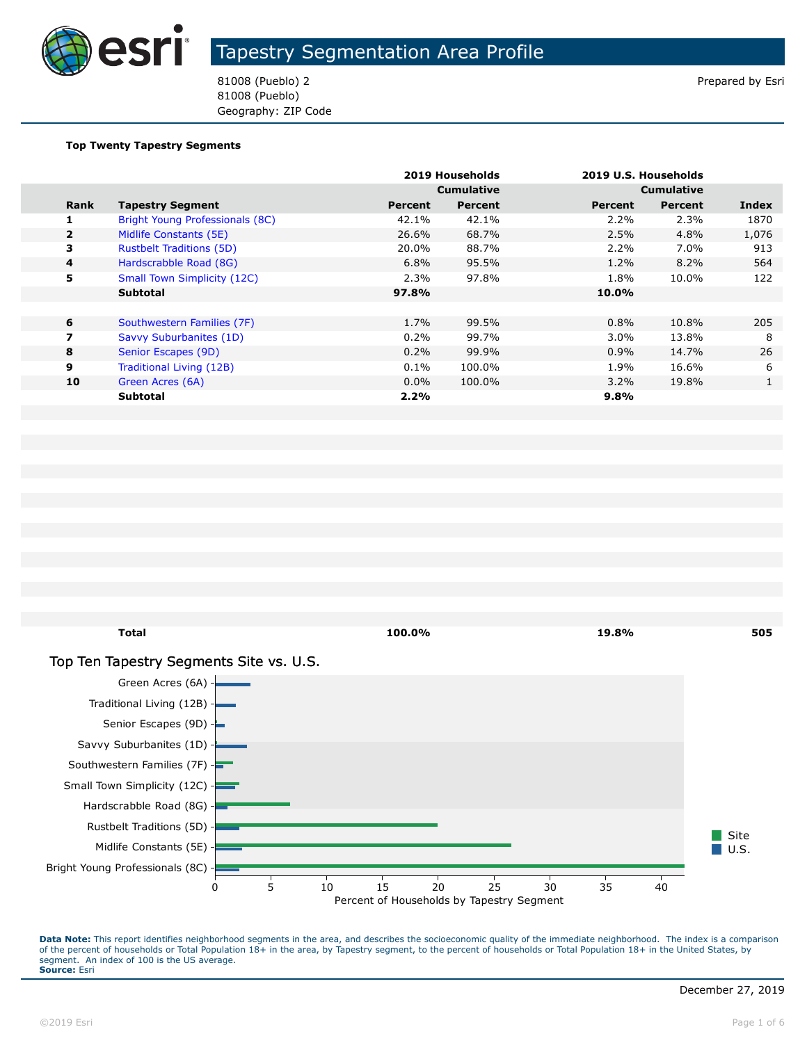

81008 (Pueblo) 2 Prepared by Esri 81008 (Pueblo) Geography: ZIP Code

#### **Top Twenty Tapestry Segments**

|                |                                    |         | 2019 Households   |         | 2019 U.S. Households |       |
|----------------|------------------------------------|---------|-------------------|---------|----------------------|-------|
|                |                                    |         | <b>Cumulative</b> |         | <b>Cumulative</b>    |       |
| Rank           | <b>Tapestry Segment</b>            | Percent | Percent           | Percent | <b>Percent</b>       | Index |
| 1              | Bright Young Professionals (8C)    | 42.1%   | 42.1%             | 2.2%    | 2.3%                 | 1870  |
| $\overline{2}$ | Midlife Constants (5E)             | 26.6%   | 68.7%             | $2.5\%$ | 4.8%                 | 1,076 |
| 3              | <b>Rustbelt Traditions (5D)</b>    | 20.0%   | 88.7%             | $2.2\%$ | 7.0%                 | 913   |
| $\overline{4}$ | Hardscrabble Road (8G)             | 6.8%    | 95.5%             | 1.2%    | 8.2%                 | 564   |
| 5              | <b>Small Town Simplicity (12C)</b> | 2.3%    | 97.8%             | 1.8%    | 10.0%                | 122   |
|                | <b>Subtotal</b>                    | 97.8%   |                   | 10.0%   |                      |       |
|                |                                    |         |                   |         |                      |       |
| 6              | Southwestern Families (7F)         | 1.7%    | 99.5%             | $0.8\%$ | 10.8%                | 205   |
| 7              | Savvy Suburbanites (1D)            | 0.2%    | 99.7%             | 3.0%    | 13.8%                | 8     |
| 8              | Senior Escapes (9D)                | 0.2%    | 99.9%             | 0.9%    | 14.7%                | 26    |
| 9              | Traditional Living (12B)           | 0.1%    | 100.0%            | 1.9%    | 16.6%                | 6     |
| 10             | Green Acres (6A)                   | $0.0\%$ | 100.0%            | $3.2\%$ | 19.8%                | 1     |
|                | <b>Subtotal</b>                    | 2.2%    |                   | $9.8\%$ |                      |       |

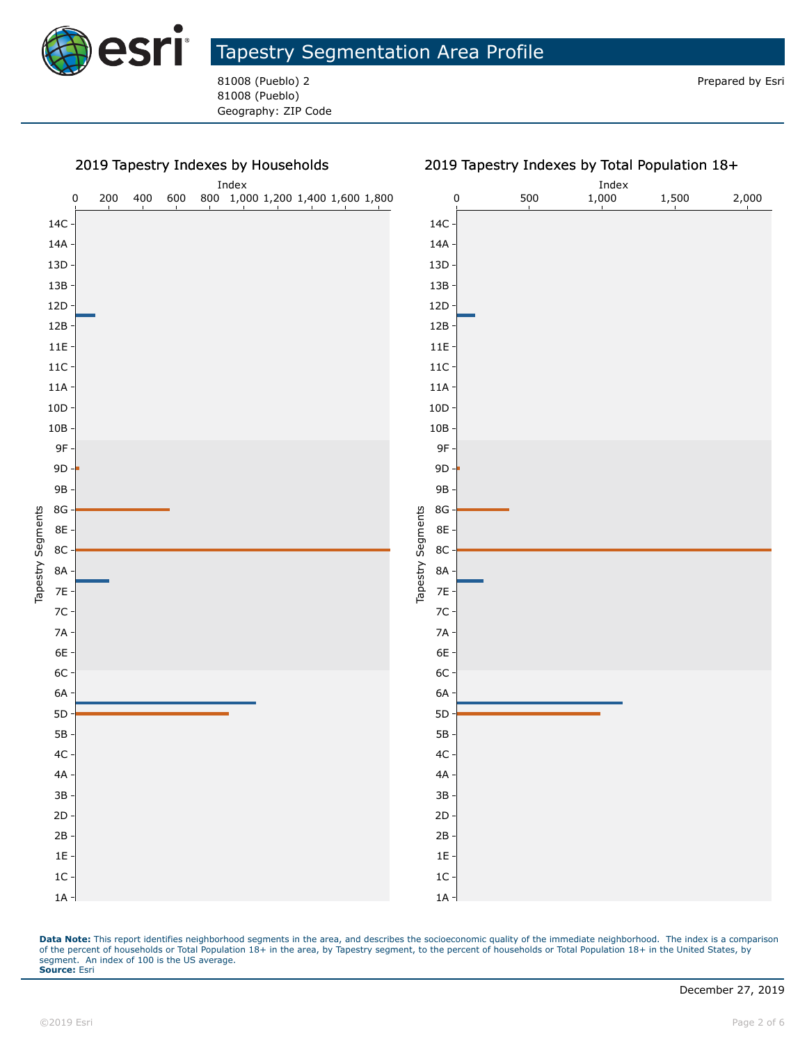

81008 (Pueblo) 2 Prepared by Esri 81008 (Pueblo) Geography: ZIP Code



#### 2019 Tapestry Indexes by Total Population 18+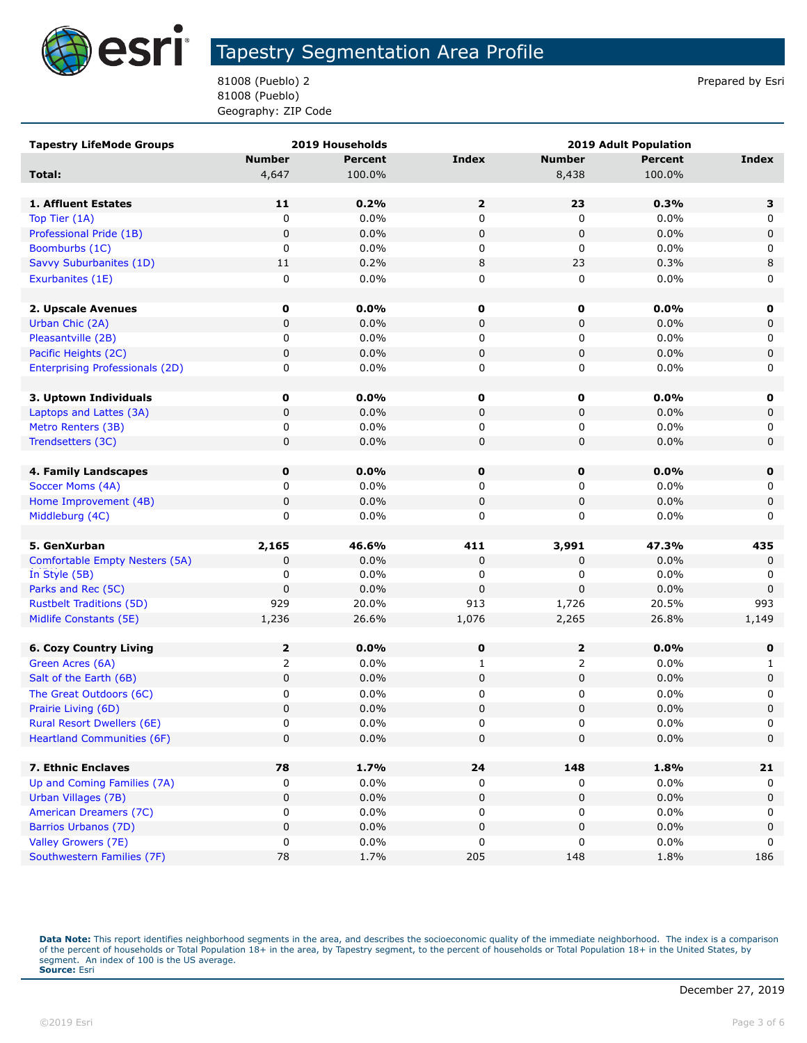

81008 (Pueblo) 2 Prepared by Esri 81008 (Pueblo) Geography: ZIP Code

| <b>Tapestry LifeMode Groups</b>        |                | 2019 Households | <b>2019 Adult Population</b> |               |                |              |
|----------------------------------------|----------------|-----------------|------------------------------|---------------|----------------|--------------|
|                                        | <b>Number</b>  | <b>Percent</b>  | <b>Index</b>                 | <b>Number</b> | <b>Percent</b> | <b>Index</b> |
| Total:                                 | 4,647          | 100.0%          |                              | 8,438         | 100.0%         |              |
|                                        |                |                 |                              |               |                |              |
| <b>1. Affluent Estates</b>             | 11             | 0.2%            | $\mathbf{2}$                 | 23            | 0.3%           | з            |
| Top Tier (1A)                          | 0              | 0.0%            | 0                            | 0             | 0.0%           | 0            |
| Professional Pride (1B)                | $\mathbf 0$    | 0.0%            | 0                            | $\pmb{0}$     | 0.0%           | $\mathbf 0$  |
| Boomburbs (1C)                         | 0              | 0.0%            | 0                            | 0             | 0.0%           | 0            |
| Savvy Suburbanites (1D)                | 11             | 0.2%            | 8                            | 23            | 0.3%           | 8            |
| Exurbanites (1E)                       | 0              | 0.0%            | 0                            | 0             | 0.0%           | 0            |
|                                        |                |                 |                              |               |                |              |
| 2. Upscale Avenues                     | 0              | 0.0%            | 0                            | 0             | 0.0%           | 0            |
| Urban Chic (2A)                        | $\mathbf 0$    | 0.0%            | 0                            | $\mathbf 0$   | 0.0%           | 0            |
| Pleasantville (2B)                     | 0              | 0.0%            | 0                            | 0             | 0.0%           | 0            |
| Pacific Heights (2C)                   | 0              | 0.0%            | 0                            | 0             | 0.0%           | 0            |
| <b>Enterprising Professionals (2D)</b> | 0              | 0.0%            | 0                            | 0             | 0.0%           | 0            |
|                                        |                |                 |                              |               |                |              |
| 3. Uptown Individuals                  | 0              | 0.0%            | 0                            | 0             | $0.0\%$        | 0            |
| Laptops and Lattes (3A)                | 0              | 0.0%            | 0                            | 0             | 0.0%           | 0            |
| Metro Renters (3B)                     | 0              | 0.0%            | 0                            | 0             | 0.0%           | 0            |
| Trendsetters (3C)                      | $\mathbf 0$    | 0.0%            | 0                            | $\mathbf 0$   | 0.0%           | $\mathbf 0$  |
|                                        |                |                 |                              |               |                |              |
| 4. Family Landscapes                   | 0              | 0.0%            | $\mathbf 0$                  | 0             | 0.0%           | $\mathbf 0$  |
| Soccer Moms (4A)                       | 0              | 0.0%            | 0                            | 0             | 0.0%           | 0            |
| Home Improvement (4B)                  | $\pmb{0}$      | 0.0%            | 0                            | $\pmb{0}$     | 0.0%           | 0            |
| Middleburg (4C)                        | 0              | 0.0%            | 0                            | 0             | 0.0%           | 0            |
|                                        |                |                 |                              |               |                |              |
| 5. GenXurban                           | 2,165          | 46.6%           | 411                          | 3,991         | 47.3%          | 435          |
| Comfortable Empty Nesters (5A)         | 0              | 0.0%            | $\pmb{0}$                    | 0             | 0.0%           | 0            |
| In Style (5B)                          | 0              | 0.0%            | 0                            | 0             | 0.0%           | 0            |
| Parks and Rec (5C)                     | $\mathbf 0$    | 0.0%            | $\pmb{0}$                    | $\mathbf 0$   | 0.0%           | 0            |
| <b>Rustbelt Traditions (5D)</b>        | 929            | 20.0%           | 913                          | 1,726         | 20.5%          | 993          |
| Midlife Constants (5E)                 | 1,236          | 26.6%           | 1,076                        | 2,265         | 26.8%          | 1,149        |
|                                        |                |                 |                              |               |                |              |
| <b>6. Cozy Country Living</b>          | $\mathbf{z}$   | 0.0%            | 0                            | $\mathbf{2}$  | 0.0%           | 0            |
| Green Acres (6A)                       | $\overline{2}$ | 0.0%            | $\mathbf{1}$                 | 2             | 0.0%           | 1            |
| Salt of the Earth (6B)                 | 0              | 0.0%            | 0                            | 0             | 0.0%           | 0            |
| The Great Outdoors (6C)                | 0              | 0.0%            | 0                            | 0             | 0.0%           | 0            |
| Prairie Living (6D)                    | $\mathbf 0$    | 0.0%            | 0                            | $\mathbf 0$   | 0.0%           | $\pmb{0}$    |
| <b>Rural Resort Dwellers (6E)</b>      | 0              | 0.0%            | 0                            | 0             | 0.0%           | 0            |
| <b>Heartland Communities (6F)</b>      | $\mathbf 0$    | 0.0%            | $\pmb{0}$                    | $\mathbf 0$   | 0.0%           | 0            |
| 7. Ethnic Enclaves                     | 78             | 1.7%            |                              |               | 1.8%           |              |
| Up and Coming Families (7A)            |                | 0.0%            | 24<br>0                      | 148<br>0      | 0.0%           | 21           |
| Urban Villages (7B)                    | 0<br>$\pmb{0}$ | 0.0%            | 0                            | $\pmb{0}$     | 0.0%           | 0<br>0       |
| American Dreamers (7C)                 | 0              | 0.0%            | 0                            | 0             | 0.0%           | 0            |
| Barrios Urbanos (7D)                   | 0              | 0.0%            | 0                            | $\pmb{0}$     | 0.0%           | $\pmb{0}$    |
| Valley Growers (7E)                    | 0              | 0.0%            | 0                            | 0             | 0.0%           | 0            |
| Southwestern Families (7F)             | 78             | 1.7%            | 205                          | 148           | 1.8%           | 186          |
|                                        |                |                 |                              |               |                |              |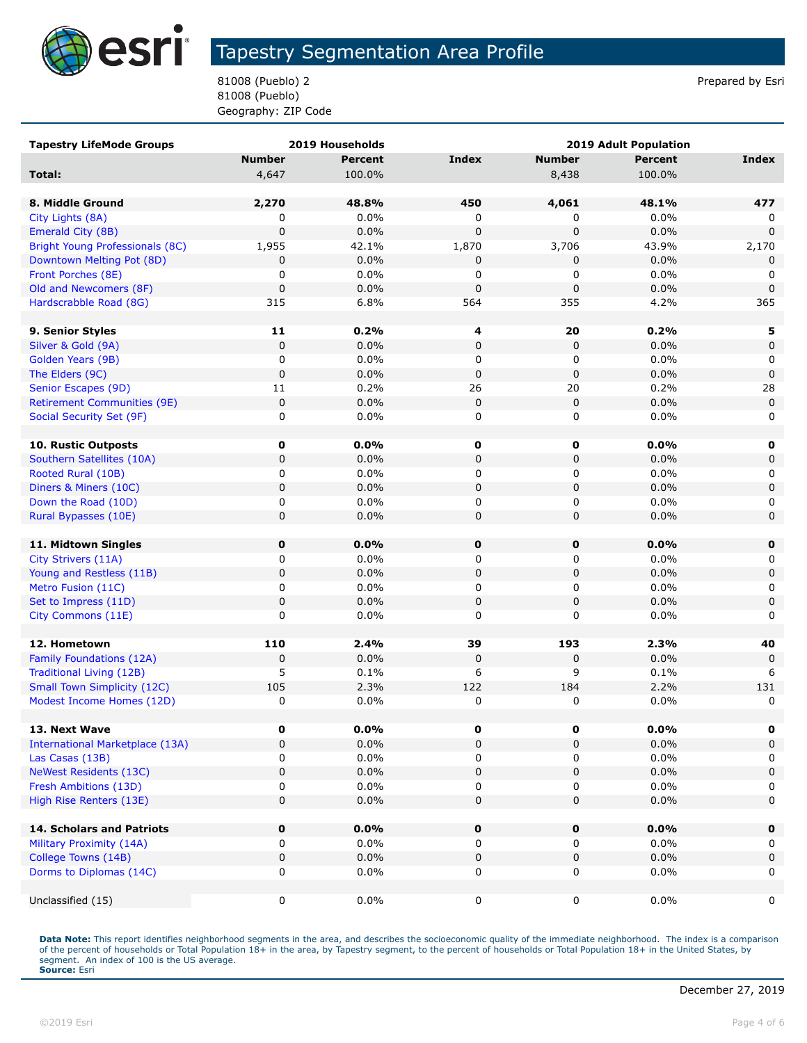

81008 (Pueblo) 2 Prepared by Esri 81008 (Pueblo) Geography: ZIP Code

| <b>Tapestry LifeMode Groups</b>        |               | 2019 Households |              | <b>2019 Adult Population</b> |                |              |
|----------------------------------------|---------------|-----------------|--------------|------------------------------|----------------|--------------|
|                                        | <b>Number</b> | <b>Percent</b>  | <b>Index</b> | <b>Number</b>                | <b>Percent</b> | <b>Index</b> |
| Total:                                 | 4,647         | 100.0%          |              | 8,438                        | 100.0%         |              |
|                                        |               |                 |              |                              |                |              |
| 8. Middle Ground                       | 2,270         | 48.8%           | 450          | 4,061                        | 48.1%          | 477          |
| City Lights (8A)                       | 0             | 0.0%            | 0            | 0                            | 0.0%           | 0            |
| Emerald City (8B)                      | $\pmb{0}$     | 0.0%            | $\Omega$     | $\mathbf 0$                  | 0.0%           | $\Omega$     |
| Bright Young Professionals (8C)        | 1,955         | 42.1%           | 1,870        | 3,706                        | 43.9%          | 2,170        |
| Downtown Melting Pot (8D)              | 0             | 0.0%            | 0            | 0                            | 0.0%           | 0            |
| Front Porches (8E)                     | 0             | 0.0%            | 0            | 0                            | 0.0%           | 0            |
| Old and Newcomers (8F)                 | $\pmb{0}$     | 0.0%            | $\mathbf 0$  | 0                            | 0.0%           | $\mathbf 0$  |
| Hardscrabble Road (8G)                 | 315           | 6.8%            | 564          | 355                          | 4.2%           | 365          |
|                                        |               |                 |              |                              |                |              |
| 9. Senior Styles                       | 11            | 0.2%            | 4            | 20                           | 0.2%           | 5            |
| Silver & Gold (9A)                     | $\pmb{0}$     | 0.0%            | $\mathbf 0$  | 0                            | 0.0%           | 0            |
| Golden Years (9B)                      | 0             | 0.0%            | 0            | 0                            | 0.0%           | 0            |
| The Elders (9C)                        | $\pmb{0}$     | 0.0%            | $\mathbf 0$  | 0                            | 0.0%           | $\mathbf 0$  |
| Senior Escapes (9D)                    | 11            | 0.2%            | 26           | 20                           | 0.2%           | 28           |
| <b>Retirement Communities (9E)</b>     | $\pmb{0}$     | 0.0%            | $\pmb{0}$    | 0                            | 0.0%           | $\mathsf 0$  |
| Social Security Set (9F)               | 0             | 0.0%            | 0            | 0                            | 0.0%           | 0            |
|                                        |               |                 |              |                              |                |              |
| 10. Rustic Outposts                    | 0             | 0.0%            | 0            | 0                            | 0.0%           | 0            |
| Southern Satellites (10A)              | 0             | 0.0%            | $\pmb{0}$    | 0                            | 0.0%           | 0            |
| Rooted Rural (10B)                     | 0             | 0.0%            | 0            | 0                            | $0.0\%$        | 0            |
| Diners & Miners (10C)                  | 0             | 0.0%            | $\pmb{0}$    | 0                            | 0.0%           | $\mathbf 0$  |
| Down the Road (10D)                    | 0             | 0.0%            | 0            | 0                            | 0.0%           | $\mathbf 0$  |
| Rural Bypasses (10E)                   | 0             | 0.0%            | $\mathbf 0$  | 0                            | 0.0%           | $\mathbf 0$  |
|                                        |               |                 |              |                              |                |              |
| 11. Midtown Singles                    | 0             | $0.0\%$         | 0            | $\mathbf 0$                  | 0.0%           | 0            |
| City Strivers (11A)                    | 0             | 0.0%            | 0            | 0                            | 0.0%           | 0            |
| Young and Restless (11B)               | 0             | 0.0%            | $\pmb{0}$    | 0                            | 0.0%           | $\mathsf 0$  |
| Metro Fusion (11C)                     | 0             | 0.0%            | 0            | 0                            | 0.0%           | 0            |
| Set to Impress (11D)                   | 0             | 0.0%            | $\pmb{0}$    | 0                            | 0.0%           | $\mathbf 0$  |
| City Commons (11E)                     | 0             | 0.0%            | 0            | 0                            | 0.0%           | 0            |
|                                        |               |                 |              |                              |                |              |
| 12. Hometown                           | 110           | 2.4%            | 39           | 193                          | 2.3%           | 40           |
| Family Foundations (12A)               | $\pmb{0}$     | 0.0%            | $\mathbf 0$  | 0                            | 0.0%           | $\mathbf 0$  |
| <b>Traditional Living (12B)</b>        | 5             | 0.1%            | 6            | 9                            | 0.1%           | 6            |
| <b>Small Town Simplicity (12C)</b>     | 105           | 2.3%            | 122          | 184                          | 2.2%           | 131          |
| Modest Income Homes (12D)              | $\pmb{0}$     | 0.0%            | 0            | 0                            | 0.0%           | 0            |
|                                        |               |                 |              |                              |                |              |
| 13. Next Wave                          | 0             | $0.0\%$         | 0            | 0                            | 0.0%           | 0            |
| <b>International Marketplace (13A)</b> | 0             | 0.0%            | $\pmb{0}$    | 0                            | 0.0%           | 0            |
| Las Casas (13B)                        | 0             | 0.0%            | 0            | 0                            | 0.0%           | 0            |
| <b>NeWest Residents (13C)</b>          | 0             | 0.0%            | $\pmb{0}$    | 0                            | 0.0%           | $\mathbf 0$  |
| Fresh Ambitions (13D)                  | 0             | 0.0%            | 0            | 0                            | 0.0%           | 0            |
| High Rise Renters (13E)                | $\mathbf 0$   | 0.0%            | 0            | 0                            | 0.0%           | 0            |
|                                        |               |                 |              |                              |                |              |
| <b>14. Scholars and Patriots</b>       | 0             | 0.0%            | $\pmb{0}$    | $\pmb{0}$                    | 0.0%           | $\mathbf 0$  |
| Military Proximity (14A)               | 0             | 0.0%            | 0            | 0                            | $0.0\%$        | 0            |
| College Towns (14B)                    | 0             | 0.0%            | $\pmb{0}$    | 0                            | 0.0%           | $\mathbf 0$  |
| Dorms to Diplomas (14C)                | 0             | 0.0%            | 0            | 0                            | $0.0\%$        | 0            |
|                                        |               |                 |              |                              |                |              |
| Unclassified (15)                      | 0             | 0.0%            | 0            | 0                            | $0.0\%$        | 0            |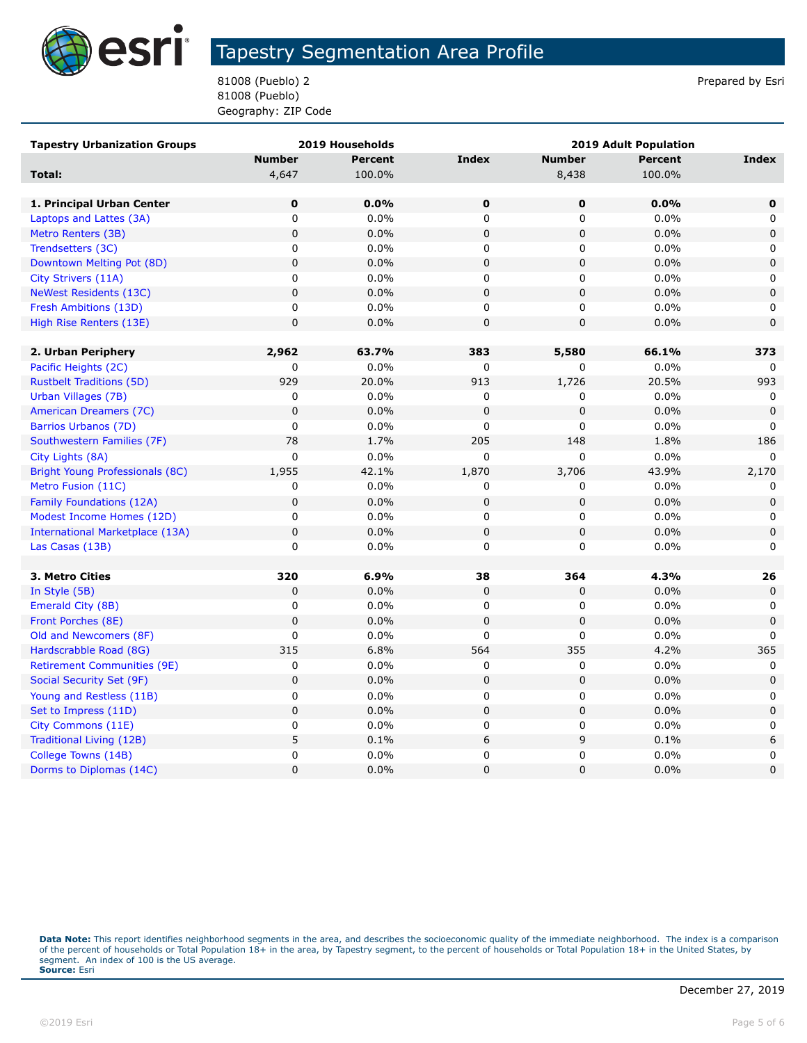

81008 (Pueblo) 2 Prepared by Esri 81008 (Pueblo) Geography: ZIP Code

| <b>Tapestry Urbanization Groups</b>    |                | 2019 Households | 2019 Adult Population |               |                |             |
|----------------------------------------|----------------|-----------------|-----------------------|---------------|----------------|-------------|
|                                        | <b>Number</b>  | <b>Percent</b>  | <b>Index</b>          | <b>Number</b> | <b>Percent</b> | Index       |
| Total:                                 | 4,647          | 100.0%          |                       | 8,438         | 100.0%         |             |
|                                        |                |                 |                       |               |                |             |
| 1. Principal Urban Center              | $\mathbf 0$    | 0.0%            | $\mathbf 0$           | 0             | 0.0%           | $\mathbf 0$ |
| Laptops and Lattes (3A)                | 0              | 0.0%            | 0                     | 0             | 0.0%           | 0           |
| Metro Renters (3B)                     | $\mathbf 0$    | 0.0%            | $\mathbf 0$           | 0             | 0.0%           | $\mathbf 0$ |
| Trendsetters (3C)                      | $\mathbf 0$    | 0.0%            | 0                     | 0             | 0.0%           | $\mathbf 0$ |
| Downtown Melting Pot (8D)              | $\pmb{0}$      | 0.0%            | $\mathbf 0$           | 0             | 0.0%           | $\pmb{0}$   |
| City Strivers (11A)                    | $\mathbf 0$    | 0.0%            | $\mathbf 0$           | 0             | 0.0%           | 0           |
| <b>NeWest Residents (13C)</b>          | $\mathbf 0$    | 0.0%            | $\mathbf 0$           | 0             | 0.0%           | $\mathbf 0$ |
| Fresh Ambitions (13D)                  | 0              | 0.0%            | 0                     | 0             | 0.0%           | 0           |
| High Rise Renters (13E)                | $\pmb{0}$      | 0.0%            | $\pmb{0}$             | 0             | 0.0%           | $\mathbf 0$ |
|                                        |                |                 |                       |               |                |             |
| 2. Urban Periphery                     | 2,962          | 63.7%           | 383                   | 5,580         | 66.1%          | 373         |
| Pacific Heights (2C)                   | 0              | 0.0%            | 0                     | 0             | 0.0%           | 0           |
| <b>Rustbelt Traditions (5D)</b>        | 929            | 20.0%           | 913                   | 1,726         | 20.5%          | 993         |
| Urban Villages (7B)                    | 0              | 0.0%            | 0                     | 0             | 0.0%           | 0           |
| American Dreamers (7C)                 | $\mathbf 0$    | 0.0%            | $\mathbf 0$           | 0             | 0.0%           | $\mathbf 0$ |
| Barrios Urbanos (7D)                   | $\mathbf 0$    | 0.0%            | $\mathbf 0$           | 0             | 0.0%           | $\Omega$    |
| Southwestern Families (7F)             | 78             | 1.7%            | 205                   | 148           | 1.8%           | 186         |
| City Lights (8A)                       | $\mathbf 0$    | 0.0%            | $\mathbf 0$           | 0             | 0.0%           | $\Omega$    |
| <b>Bright Young Professionals (8C)</b> | 1,955          | 42.1%           | 1,870                 | 3,706         | 43.9%          | 2,170       |
| Metro Fusion (11C)                     | 0              | 0.0%            | 0                     | 0             | 0.0%           | 0           |
| <b>Family Foundations (12A)</b>        | $\mathbf 0$    | 0.0%            | $\mathbf 0$           | 0             | 0.0%           | $\mathbf 0$ |
| Modest Income Homes (12D)              | $\mathbf 0$    | 0.0%            | $\mathsf 0$           | $\mathbf 0$   | 0.0%           | 0           |
| <b>International Marketplace (13A)</b> | $\mathbf 0$    | 0.0%            | $\mathbf 0$           | 0             | 0.0%           | $\mathbf 0$ |
| Las Casas (13B)                        | 0              | 0.0%            | 0                     | 0             | 0.0%           | $\mathbf 0$ |
|                                        |                |                 |                       |               |                |             |
| 3. Metro Cities                        | 320            | 6.9%            | 38                    | 364           | 4.3%           | 26          |
| In Style (5B)                          | 0              | 0.0%            | 0                     | 0             | 0.0%           | $\mathbf 0$ |
| Emerald City (8B)                      | 0              | 0.0%            | 0                     | 0             | 0.0%           | 0           |
| Front Porches (8E)                     | $\mathbf 0$    | 0.0%            | $\mathbf 0$           | 0             | 0.0%           | $\mathbf 0$ |
| Old and Newcomers (8F)                 | 0              | 0.0%            | $\mathbf 0$           | 0             | 0.0%           | $\mathbf 0$ |
| Hardscrabble Road (8G)                 | 315            | 6.8%            | 564                   | 355           | 4.2%           | 365         |
| <b>Retirement Communities (9E)</b>     | $\mathbf 0$    | 0.0%            | 0                     | 0             | 0.0%           | 0           |
| Social Security Set (9F)               | $\pmb{0}$      | 0.0%            | $\mathbf 0$           | $\pmb{0}$     | 0.0%           | $\mathbf 0$ |
| Young and Restless (11B)               | 0              | $0.0\%$         | 0                     | 0             | 0.0%           | 0           |
| Set to Impress (11D)                   | $\mathbf 0$    | 0.0%            | $\mathbf 0$           | 0             | 0.0%           | $\mathbf 0$ |
| City Commons (11E)                     | $\pmb{0}$      | $0.0\%$         | $\mathbf 0$           | 0             | 0.0%           | 0           |
| Traditional Living (12B)               | 5              | 0.1%            | $\boldsymbol{6}$      | 9             | 0.1%           | 6           |
| College Towns (14B)                    | $\pmb{0}$      | 0.0%            | 0                     | 0             | 0.0%           | 0           |
| Dorms to Diplomas (14C)                | $\overline{0}$ | 0.0%            | 0                     | $\mathbf 0$   | 0.0%           | $\mathbf 0$ |